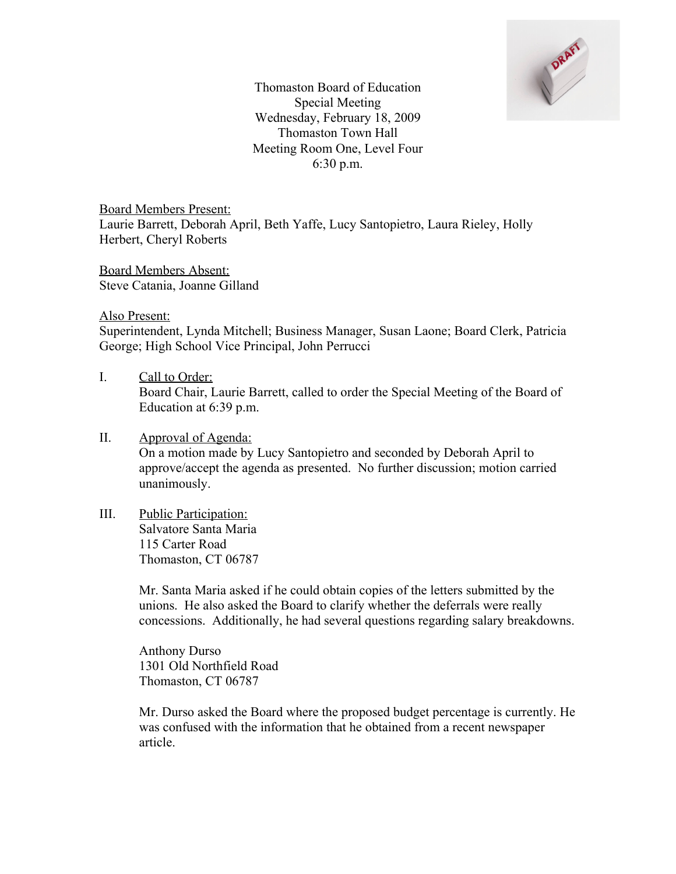

Thomaston Board of Education Special Meeting Wednesday, February 18, 2009 Thomaston Town Hall Meeting Room One, Level Four 6:30 p.m.

Board Members Present: Laurie Barrett, Deborah April, Beth Yaffe, Lucy Santopietro, Laura Rieley, Holly Herbert, Cheryl Roberts

Board Members Absent: Steve Catania, Joanne Gilland

Also Present:

Superintendent, Lynda Mitchell; Business Manager, Susan Laone; Board Clerk, Patricia George; High School Vice Principal, John Perrucci

I. Call to Order: Board Chair, Laurie Barrett, called to order the Special Meeting of the Board of Education at 6:39 p.m.

## II. Approval of Agenda: On a motion made by Lucy Santopietro and seconded by Deborah April to approve/accept the agenda as presented. No further discussion; motion carried unanimously.

III. Public Participation: Salvatore Santa Maria 115 Carter Road Thomaston, CT 06787

> Mr. Santa Maria asked if he could obtain copies of the letters submitted by the unions. He also asked the Board to clarify whether the deferrals were really concessions. Additionally, he had several questions regarding salary breakdowns.

Anthony Durso 1301 Old Northfield Road Thomaston, CT 06787

Mr. Durso asked the Board where the proposed budget percentage is currently. He was confused with the information that he obtained from a recent newspaper article.